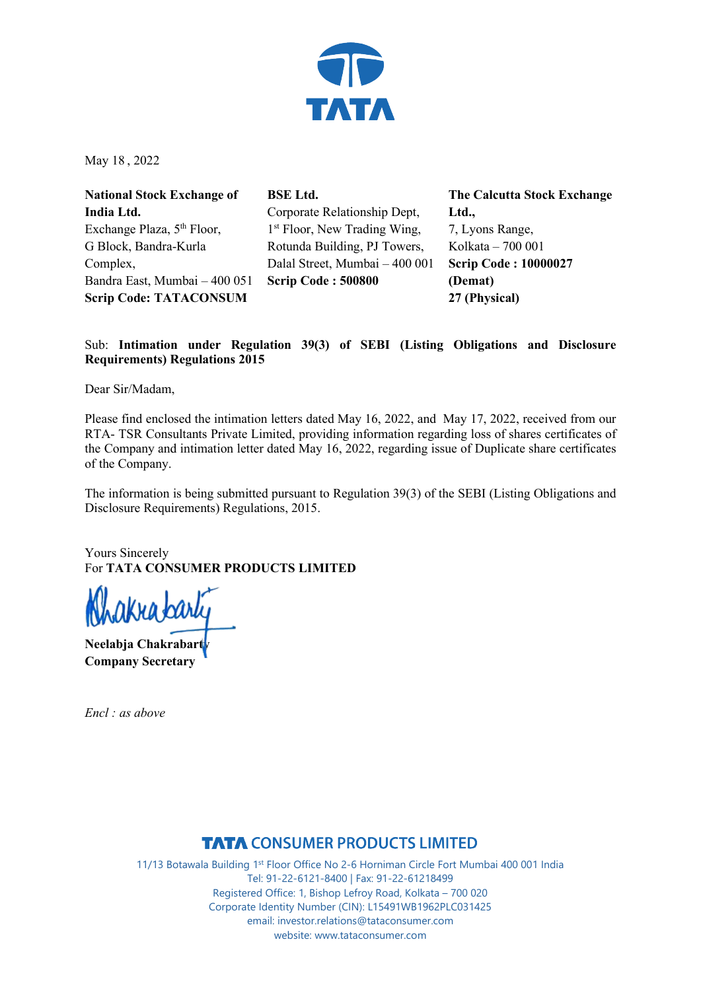

May 18 , 2022

**National Stock Exchange of India Ltd.** Exchange Plaza, 5<sup>th</sup> Floor, G Block, Bandra-Kurla Complex, Bandra East, Mumbai – 400 051 **Scrip Code: TATACONSUM**

**BSE Ltd.** Corporate Relationship Dept, 1<sup>st</sup> Floor, New Trading Wing, Rotunda Building, PJ Towers, Dalal Street, Mumbai – 400 001 **Scrip Code : 500800**

**The Calcutta Stock Exchange Ltd.,** 7, Lyons Range, Kolkata – 700 001 **Scrip Code : 10000027 (Demat) 27 (Physical)**

## Sub: **Intimation under Regulation 39(3) of SEBI (Listing Obligations and Disclosure Requirements) Regulations 2015**

Dear Sir/Madam,

Please find enclosed the intimation letters dated May 16, 2022, and May 17, 2022, received from our RTA- TSR Consultants Private Limited, providing information regarding loss of shares certificates of the Company and intimation letter dated May 16, 2022, regarding issue of Duplicate share certificates of the Company.

The information is being submitted pursuant to Regulation 39(3) of the SEBI (Listing Obligations and Disclosure Requirements) Regulations, 2015.

Yours Sincerely For **TATA CONSUMER PRODUCTS LIMITED**

ikra*ba*r

**Neelabja Chakrabarty Company Secretary** 

*Encl : as above* 

**TATA CONSUMER PRODUCTS LIMITED**<br>11/13 Botawala Building 1<sup>st</sup> Floor Office No 2-6 Horniman Circle Fort Mumbai 400 001 India Tel: 91-22-6121-8400 | Fax: 91-22-61218499 Registered Office: 1, Bishop Lefroy Road, Kolkata – 700 020 Corporate Identity Number (CIN): L15491WB1962PLC031425 email: investor.relations@tataconsumer.com website: www.tataconsumer.com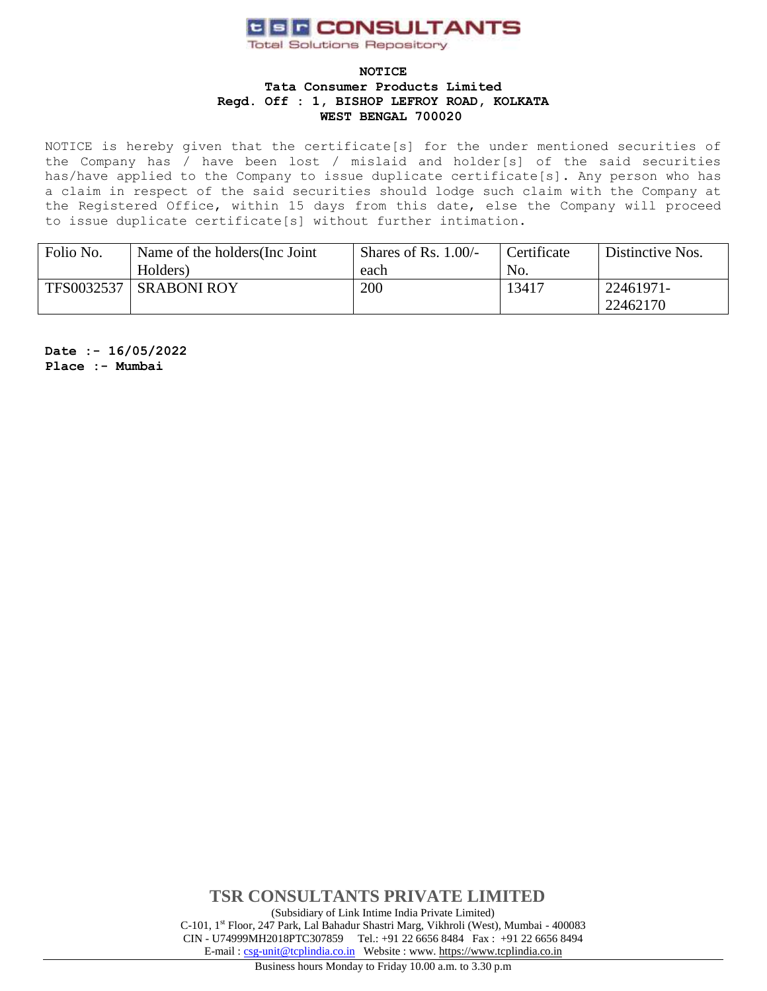# **CER CONSULTANTS**

**Total Solutions Repository** 

### **NOTICE Tata Consumer Products Limited Regd. Off : 1, BISHOP LEFROY ROAD, KOLKATA WEST BENGAL 700020**

NOTICE is hereby given that the certificate[s] for the under mentioned securities of the Company has / have been lost / mislaid and holder[s] of the said securities has/have applied to the Company to issue duplicate certificate[s]. Any person who has a claim in respect of the said securities should lodge such claim with the Company at the Registered Office, within 15 days from this date, else the Company will proceed to issue duplicate certificate[s] without further intimation.

| Folio No.  | Name of the holders (Inc. Joint | Shares of Rs. $1.00/-$ | Certificate | Distinctive Nos. |
|------------|---------------------------------|------------------------|-------------|------------------|
|            | Holders)                        | each                   | No.         |                  |
| TFS0032537 | <b>SRABONI ROY</b>              | 200                    | 13417       | 22461971-        |
|            |                                 |                        |             | 22462170         |

**Date :- 16/05/2022 Place :- Mumbai**

> **TSR CONSULTANTS PRIVATE LIMITED** (Subsidiary of Link Intime India Private Limited) C-101, 1st Floor, 247 Park, Lal Bahadur Shastri Marg, Vikhroli (West), Mumbai - 400083 CIN - U74999MH2018PTC307859Tel.: +91 22 6656 8484 Fax : +91 22 6656 8494 E-mail [: csg-unit@tcplindia.co.in](mailto:csg-unit@tcplindia.co.in) Website : www. [https://www.tcplindia.co.in](http://www.tsrdarashaw.com/)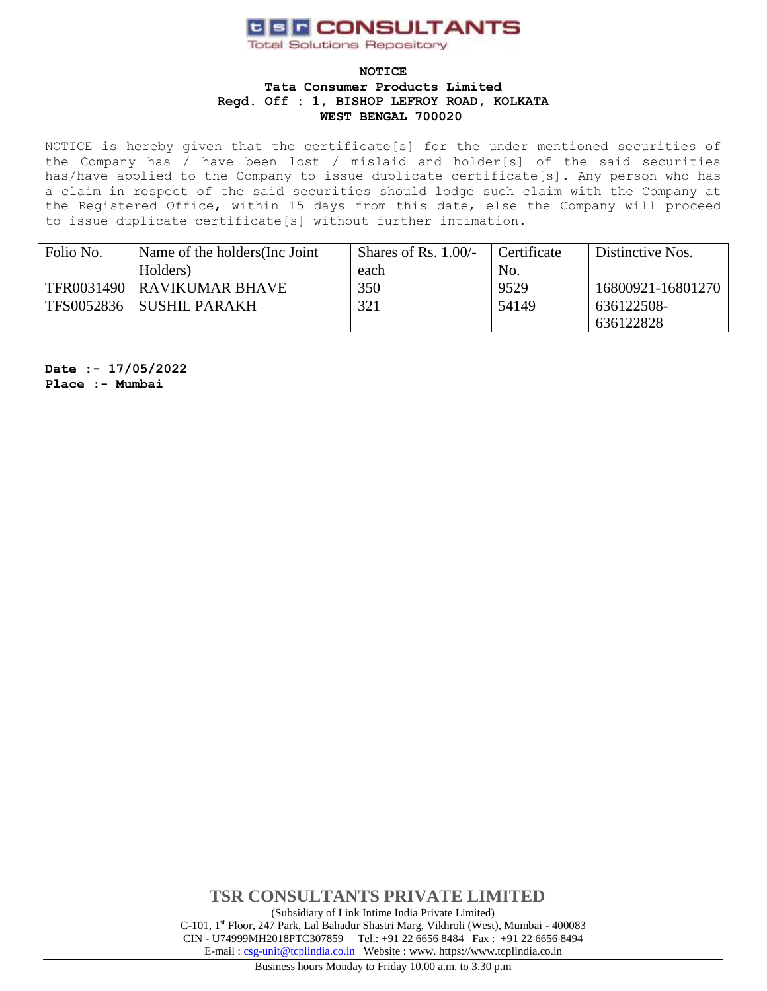# **CER CONSULTANTS**

**Total Solutions Repository** 

### **NOTICE**

#### **Tata Consumer Products Limited Regd. Off : 1, BISHOP LEFROY ROAD, KOLKATA WEST BENGAL 700020**

NOTICE is hereby given that the certificate[s] for the under mentioned securities of the Company has / have been lost / mislaid and holder[s] of the said securities has/have applied to the Company to issue duplicate certificate[s]. Any person who has a claim in respect of the said securities should lodge such claim with the Company at the Registered Office, within 15 days from this date, else the Company will proceed to issue duplicate certificate[s] without further intimation.

| Folio No.  | Name of the holders (Inc. Joint | Shares of Rs. $1.00/-$ | Certificate | Distinctive Nos.  |  |
|------------|---------------------------------|------------------------|-------------|-------------------|--|
|            | Holders)                        | each                   | No.         |                   |  |
|            | TFR0031490   RAVIKUMAR BHAVE    | 350                    | 9529        | 16800921-16801270 |  |
| TFS0052836 | <b>SUSHIL PARAKH</b>            | 321                    | 54149       | 636122508-        |  |
|            |                                 |                        |             | 636122828         |  |

**Date :- 17/05/2022 Place :- Mumbai**

> **TSR CONSULTANTS PRIVATE LIMITED** (Subsidiary of Link Intime India Private Limited) C-101, 1st Floor, 247 Park, Lal Bahadur Shastri Marg, Vikhroli (West), Mumbai - 400083 CIN - U74999MH2018PTC307859Tel.: +91 22 6656 8484 Fax : +91 22 6656 8494 E-mail [: csg-unit@tcplindia.co.in](mailto:csg-unit@tcplindia.co.in) Website : www. [https://www.tcplindia.co.in](http://www.tsrdarashaw.com/)